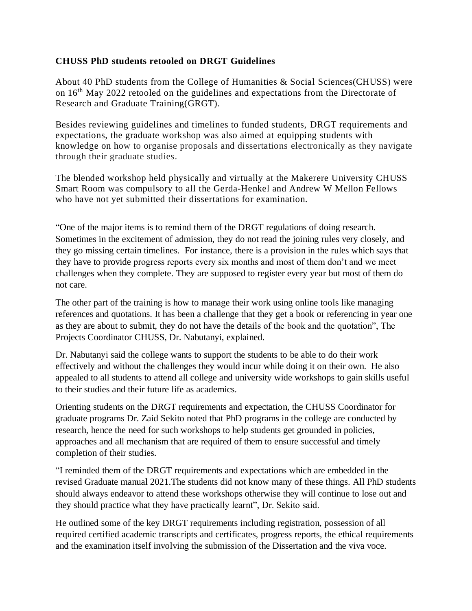## **CHUSS PhD students retooled on DRGT Guidelines**

About 40 PhD students from the College of Humanities & Social Sciences(CHUSS) were on 16th May 2022 retooled on the guidelines and expectations from the Directorate of Research and Graduate Training(GRGT).

Besides reviewing guidelines and timelines to funded students, DRGT requirements and expectations, the graduate workshop was also aimed at equipping students with knowledge on how to organise proposals and dissertations electronically as they navigate through their graduate studies.

The blended workshop held physically and virtually at the Makerere University CHUSS Smart Room was compulsory to all the Gerda-Henkel and Andrew W Mellon Fellows who have not yet submitted their dissertations for examination.

"One of the major items is to remind them of the DRGT regulations of doing research. Sometimes in the excitement of admission, they do not read the joining rules very closely, and they go missing certain timelines. For instance, there is a provision in the rules which says that they have to provide progress reports every six months and most of them don't and we meet challenges when they complete. They are supposed to register every year but most of them do not care.

The other part of the training is how to manage their work using online tools like managing references and quotations. It has been a challenge that they get a book or referencing in year one as they are about to submit, they do not have the details of the book and the quotation", The Projects Coordinator CHUSS, Dr. Nabutanyi, explained.

Dr. Nabutanyi said the college wants to support the students to be able to do their work effectively and without the challenges they would incur while doing it on their own. He also appealed to all students to attend all college and university wide workshops to gain skills useful to their studies and their future life as academics.

Orienting students on the DRGT requirements and expectation, the CHUSS Coordinator for graduate programs Dr. Zaid Sekito noted that PhD programs in the college are conducted by research, hence the need for such workshops to help students get grounded in policies, approaches and all mechanism that are required of them to ensure successful and timely completion of their studies.

"I reminded them of the DRGT requirements and expectations which are embedded in the revised Graduate manual 2021.The students did not know many of these things. All PhD students should always endeavor to attend these workshops otherwise they will continue to lose out and they should practice what they have practically learnt", Dr. Sekito said.

He outlined some of the key DRGT requirements including registration, possession of all required certified academic transcripts and certificates, progress reports, the ethical requirements and the examination itself involving the submission of the Dissertation and the viva voce.